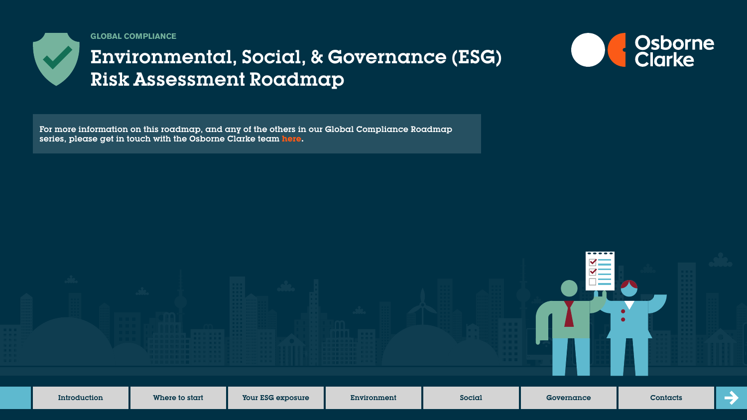

**GLOBAL COMPLIANCE**

# Environmental, Social, & Governance (ESG) Risk Assessment Roadmap





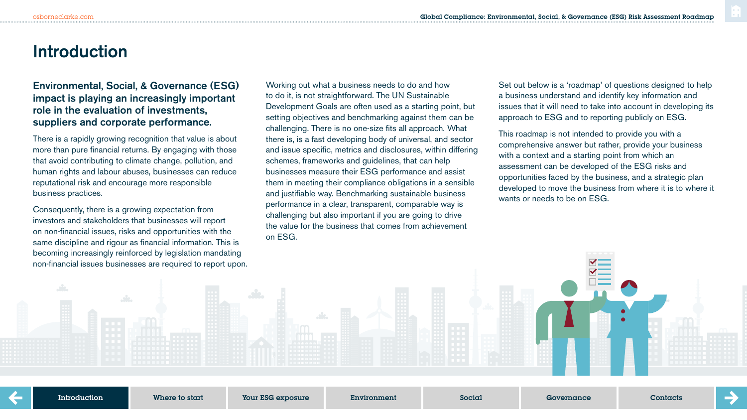### **Introduction**

### Environmental, Social, & Governance (ESG) impact is playing an increasingly important role in the evaluation of investments, suppliers and corporate performance.

There is a rapidly growing recognition that value is about more than pure financial returns. By engaging with those that avoid contributing to climate change, pollution, and human rights and labour abuses, businesses can reduce reputational risk and encourage more responsible business practices.

Consequently, there is a growing expectation from investors and stakeholders that businesses will report on non-financial issues, risks and opportunities with the same discipline and rigour as financial information. This is becoming increasingly reinforced by legislation mandating non-financial issues businesses are required to report upon. Working out what a business needs to do and how to do it, is not straightforward. The UN Sustainable Development Goals are often used as a starting point, but setting objectives and benchmarking against them can be challenging. There is no one-size fits all approach. What there is, is a fast developing body of universal, and sector and issue specific, metrics and disclosures, within differing schemes, frameworks and guidelines, that can help businesses measure their ESG performance and assist them in meeting their compliance obligations in a sensible and justifiable way. Benchmarking sustainable business performance in a clear, transparent, comparable way is challenging but also important if you are going to drive the value for the business that comes from achievement on ESG.

Set out below is a 'roadmap' of questions designed to help a business understand and identify key information and issues that it will need to take into account in developing its approach to ESG and to reporting publicly on ESG.

This roadmap is not intended to provide you with a comprehensive answer but rather, provide your business with a context and a starting point from which an assessment can be developed of the ESG risks and opportunities faced by the business, and a strategic plan developed to move the business from where it is to where it wants or needs to be on ESG.

Introduction

Where to start Your ESG exposure Environment Social Governance Contacts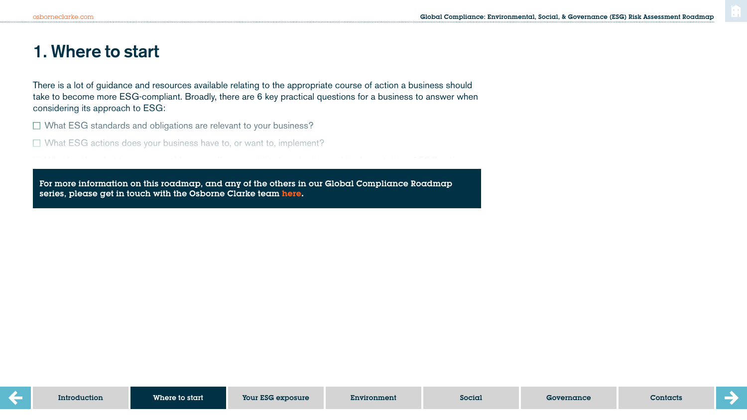## **1. Where to start**

There is a lot of guidance and resources available relating to the appropriate course of action a business should take to become more ESG-compliant. Broadly, there are 6 key practical questions for a business to answer when considering its approach to ESG:

 $\Box$  What ESG standards and obligations are relevant to your business?

 $H_{\rm eff}$  will you engage shareholders and wider stakeholders and wider stakeholders and wider stakeholders.

 $\Box$  What ESG actions does your business have to, or want to, implement?

How will the ESG actions be implemented? series, please get in touch with the Osborne Clarke team **[here.](https://sites-osborneclarke.vuturevx.com/82/6426/pages/global-compliance-roadmaps.asp)** For more information on this roadmap, and any of the others in our Global Compliance Roadmap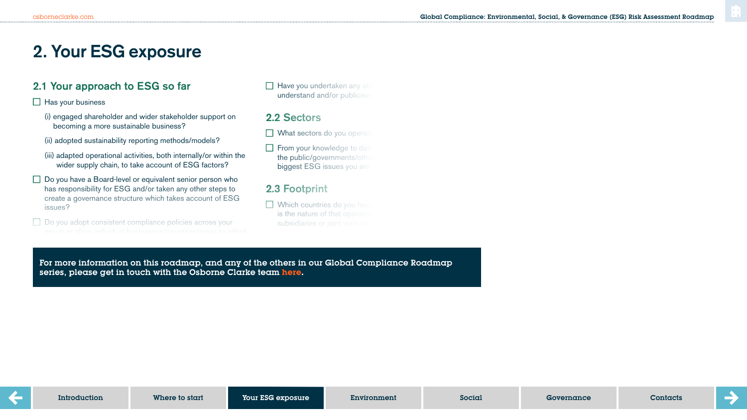## **2. Your ESG exposure**

### 2.1 Your approach to ESG so far

 $\Box$  Has your business

- (i) engaged shareholder and wider stakeholder support on becoming a more sustainable business?
- (ii) adopted sustainability reporting methods/models?
- (iii) adapted operational activities, both internally/or within the wider supply chain, to take account of ESG factors?
- $\Box$  Do you have a Board-level or equivalent senior person who has responsibility for ESG and/or taken any other steps to create a governance structure which takes account of ESG issues?
- □ Do you adopt consistent compliance policies across your

 $\Box$  Have you undertaken any other understand and/or publicise

### 2.2 Sectors

- $\Box$  What sectors do you operate
- $\Box$  From your knowledge to date the public/governments/other biggest ESG issues you are

### 2.3 Footprint

 $\Box$  Which countries do you have is the nature of that operation subsidiaries or joint ventures

For more information on this roadmap, and any of the others in our Global Compliance Roadmap series, please get in touch with the Osborne Clarke team <mark>[here.](https://sites-osborneclarke.vuturevx.com/82/6426/pages/global-compliance-roadmaps.asp)</mark>

with  $\mathcal{F}_{\mathcal{F}}$  (For example do you have suppliers, agents or example do you have suppliers, agents or example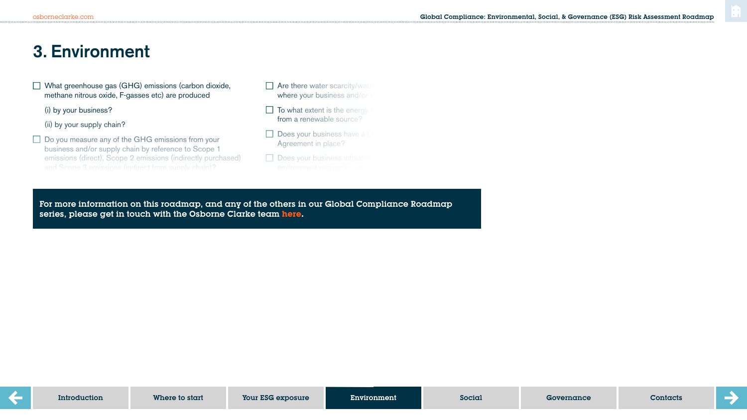## **3. Environment**

 $\Box$  What greenhouse gas (GHG) emissions (carbon dioxide, methane nitrous oxide, F-gasses etc) are produced

(i) by your business?

#### (ii) by your supply chain?

the Paris Agreement?

- $\Box$  Do you measure any of the GHG emissions from your business and/or supply chain by reference to Scope 1 emissions (direct), Scope 2 emissions (indirectly purchased)
- $\Box$  Are there water scarcity/water where your business and/or
- $\Box$  To what extent is the energy from a renewable source?
- $\Box$  Does your business have a C Agreement in place?
- $\Box$  Does your business infrastru

For more information on this roadmap, and any of the others in our Global Compliance Roadmap (ii) Are your targets (iii) otherwise in line with (or exceed) otherwise in line with (or exceed) of  $\alpha$ series, please get in touch with the Osborne Clarke team <mark>here</mark>.

 $D$  you undertake any form of environmental or sustainability  $\mathcal{D}_\mathcal{A}$ 

environmental impact of your business operations, e.g. carbon,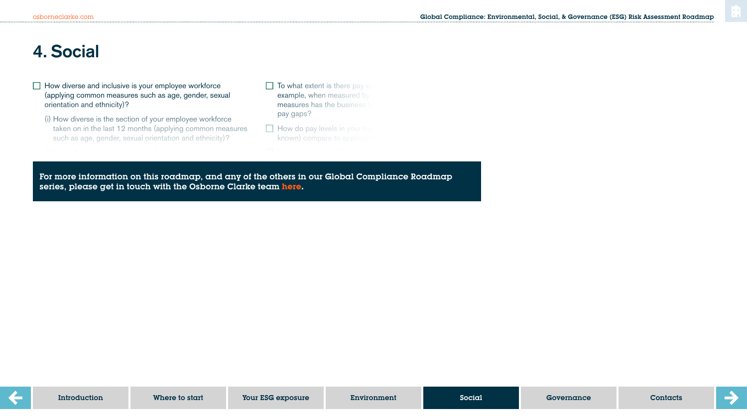## **4. Social**

- $\Box$  How diverse and inclusive is your employee workforce (applying common measures such as age, gender, sexual orientation and ethnicity)?
	- (i) How diverse is the section of your employee workforce taken on in the last 12 months (applying common measures such as age, gender, sexual orientation and ethnicity)?

that has left the business in the last  $12$  months (applying  $\alpha$  months (applying  $\alpha$ 

- $\Box$  To what extent is there pay equal example, when measured by measures has the business to pay gaps?
- $\Box$  How do pay levels in your business known) compare to applicable

average of all the other employees in  $\mathcal{C}$  and  $\mathcal{C}$  in your business (excluding  $\mathcal{C}$ 

common measures such as age, general orientation orientation orientation orientation orientation orientation<br>Common measures such as a general orientation orientation orientation orientation orientation orientation orie and ethnicity)<br>Controlled the controlled the control of the control of the control of the control of the control of the control of the control of the control of the control of the control of the control of the control of t For more information on this roadmap, and any of the others in our Global Compliance Roadmap series, please get in touch with the Osborne Clarke team <mark>here</mark>. We have a series of the contract of the contract of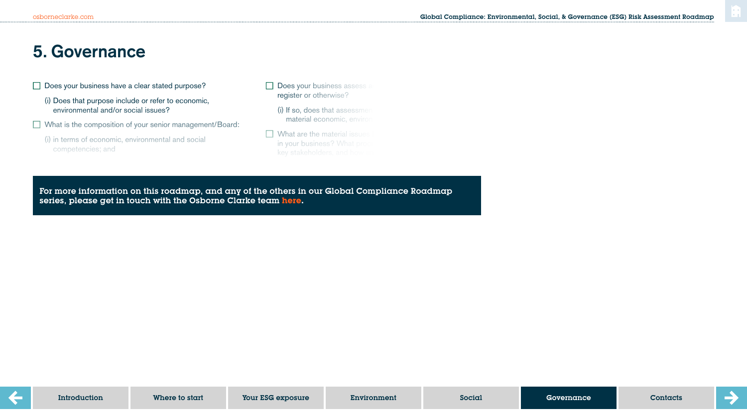## **5. Governance**

and ethnicity)?

ESG performance?

- $\Box$  Does your business have a clear stated purpose?
	- (i) Does that purpose include or refer to economic, environmental and/or social issues?
- $\Box$  What is the composition of your senior management/Board:
	- (i) in terms of economic, environmental and social competencies; and
- $\Box$  Does your business assess and  $\Box$ register or otherwise?
	- $(i)$  If so, does that assessment material economic, environ
- $\Box$  What are the material issues in your business? What proce

bribery and corruption?

For more information on this roadmap, and any of the others in our Global Compliance Roadmap series, please get in touch with the Osborne Clarke team <mark>here</mark>.

(i) Do you monitor the effectiveness of  $\mathcal{O}(n)$  and  $\mathcal{O}(n)$